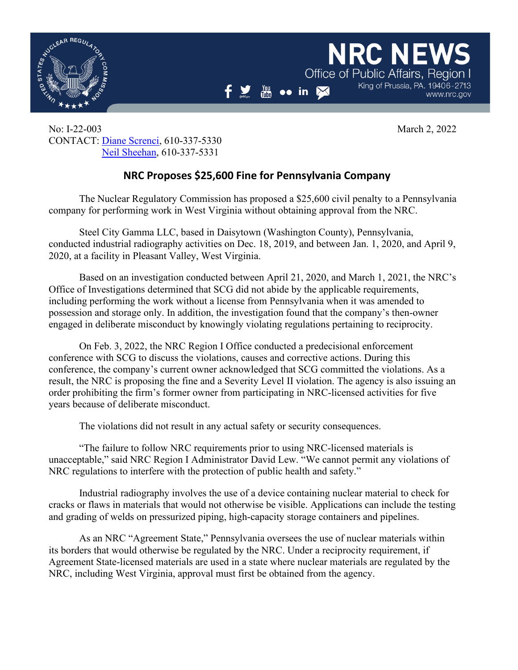

www.nrc.gov

King of Prussia, PA, 19406-2713

**NRC NEV** 

Office of Public Affairs, Region

No: I-22-003 March 2, 2022 CONTACT: [Diane Screnci,](mailto:diane.screnci@nrc.gov) 610-337-5330 [Neil Sheehan,](mailto:neil.sheehan@nrc.gov) 610-337-5331

## **NRC Proposes \$25,600 Fine for Pennsylvania Company**

 $\frac{You}{f_{min}}$ 

 $\bullet \bullet$  in  $\boxtimes$ 

The Nuclear Regulatory Commission has proposed a \$25,600 civil penalty to a Pennsylvania company for performing work in West Virginia without obtaining approval from the NRC.

Steel City Gamma LLC, based in Daisytown (Washington County), Pennsylvania, conducted industrial radiography activities on Dec. 18, 2019, and between Jan. 1, 2020, and April 9, 2020, at a facility in Pleasant Valley, West Virginia.

Based on an investigation conducted between April 21, 2020, and March 1, 2021, the NRC's Office of Investigations determined that SCG did not abide by the applicable requirements, including performing the work without a license from Pennsylvania when it was amended to possession and storage only. In addition, the investigation found that the company's then-owner engaged in deliberate misconduct by knowingly violating regulations pertaining to reciprocity.

On Feb. 3, 2022, the NRC Region I Office conducted a predecisional enforcement conference with SCG to discuss the violations, causes and corrective actions. During this conference, the company's current owner acknowledged that SCG committed the violations. As a result, the NRC is proposing the fine and a Severity Level II violation. The agency is also issuing an order prohibiting the firm's former owner from participating in NRC-licensed activities for five years because of deliberate misconduct.

The violations did not result in any actual safety or security consequences.

"The failure to follow NRC requirements prior to using NRC-licensed materials is unacceptable," said NRC Region I Administrator David Lew. "We cannot permit any violations of NRC regulations to interfere with the protection of public health and safety."

Industrial radiography involves the use of a device containing nuclear material to check for cracks or flaws in materials that would not otherwise be visible. Applications can include the testing and grading of welds on pressurized piping, high-capacity storage containers and pipelines.

As an NRC "Agreement State," Pennsylvania oversees the use of nuclear materials within its borders that would otherwise be regulated by the NRC. Under a reciprocity requirement, if Agreement State-licensed materials are used in a state where nuclear materials are regulated by the NRC, including West Virginia, approval must first be obtained from the agency.